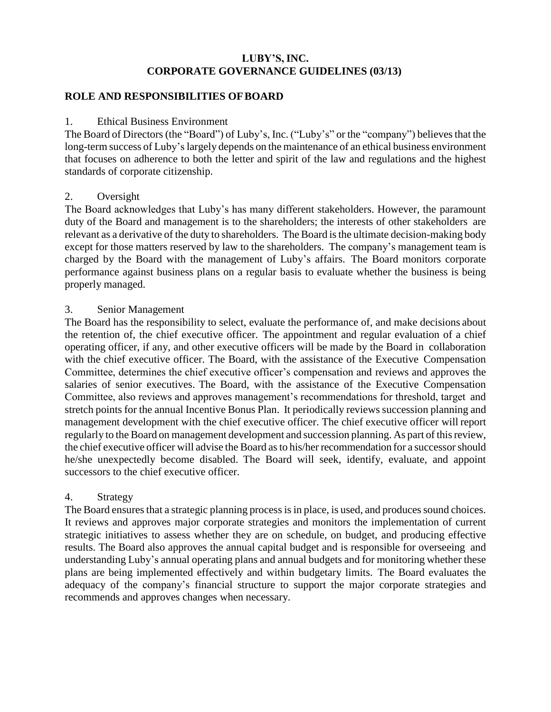## **LUBY'S, INC. CORPORATE GOVERNANCE GUIDELINES (03/13)**

#### **ROLE AND RESPONSIBILITIES OFBOARD**

#### 1. Ethical Business Environment

The Board of Directors (the "Board") of Luby's, Inc. ("Luby's" or the "company") believes that the long-term success of Luby's largely depends on the maintenance of an ethical business environment that focuses on adherence to both the letter and spirit of the law and regulations and the highest standards of corporate citizenship.

#### 2. Oversight

The Board acknowledges that Luby's has many different stakeholders. However, the paramount duty of the Board and management is to the shareholders; the interests of other stakeholders are relevant as a derivative of the duty to shareholders. The Board is the ultimate decision-making body except for those matters reserved by law to the shareholders. The company's management team is charged by the Board with the management of Luby's affairs. The Board monitors corporate performance against business plans on a regular basis to evaluate whether the business is being properly managed.

#### 3. Senior Management

The Board has the responsibility to select, evaluate the performance of, and make decisions about the retention of, the chief executive officer. The appointment and regular evaluation of a chief operating officer, if any, and other executive officers will be made by the Board in collaboration with the chief executive officer. The Board, with the assistance of the Executive Compensation Committee, determines the chief executive officer's compensation and reviews and approves the salaries of senior executives. The Board, with the assistance of the Executive Compensation Committee, also reviews and approves management's recommendations for threshold, target and stretch points for the annual Incentive Bonus Plan. It periodically reviews succession planning and management development with the chief executive officer. The chief executive officer will report regularly to the Board on management development and succession planning. As part of thisreview, the chief executive officer will advise the Board asto his/her recommendation for a successorshould he/she unexpectedly become disabled. The Board will seek, identify, evaluate, and appoint successors to the chief executive officer.

#### 4. Strategy

The Board ensures that a strategic planning process is in place, is used, and produces sound choices. It reviews and approves major corporate strategies and monitors the implementation of current strategic initiatives to assess whether they are on schedule, on budget, and producing effective results. The Board also approves the annual capital budget and is responsible for overseeing and understanding Luby's annual operating plans and annual budgets and for monitoring whether these plans are being implemented effectively and within budgetary limits. The Board evaluates the adequacy of the company's financial structure to support the major corporate strategies and recommends and approves changes when necessary.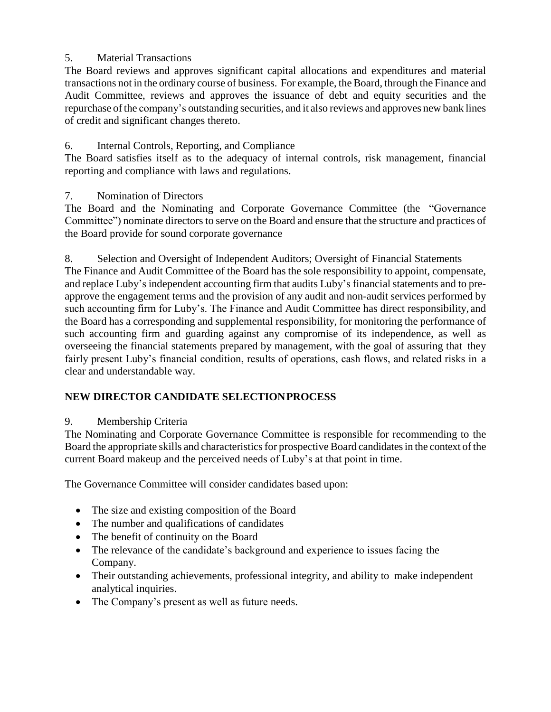# 5. Material Transactions

The Board reviews and approves significant capital allocations and expenditures and material transactions not in the ordinary course of business. For example, the Board, through the Finance and Audit Committee, reviews and approves the issuance of debt and equity securities and the repurchase of the company's outstanding securities, and it also reviews and approves new bank lines of credit and significant changes thereto.

# 6. Internal Controls, Reporting, and Compliance

The Board satisfies itself as to the adequacy of internal controls, risk management, financial reporting and compliance with laws and regulations.

7. Nomination of Directors

The Board and the Nominating and Corporate Governance Committee (the "Governance Committee") nominate directors to serve on the Board and ensure that the structure and practices of the Board provide for sound corporate governance

8. Selection and Oversight of Independent Auditors; Oversight of Financial Statements

The Finance and Audit Committee of the Board has the sole responsibility to appoint, compensate, and replace Luby's independent accounting firm that audits Luby's financial statements and to preapprove the engagement terms and the provision of any audit and non-audit services performed by such accounting firm for Luby's. The Finance and Audit Committee has direct responsibility, and the Board has a corresponding and supplemental responsibility, for monitoring the performance of such accounting firm and guarding against any compromise of its independence, as well as overseeing the financial statements prepared by management, with the goal of assuring that they fairly present Luby's financial condition, results of operations, cash flows, and related risks in a clear and understandable way.

# **NEW DIRECTOR CANDIDATE SELECTIONPROCESS**

# 9. Membership Criteria

The Nominating and Corporate Governance Committee is responsible for recommending to the Board the appropriate skills and characteristics for prospective Board candidates in the context of the current Board makeup and the perceived needs of Luby's at that point in time.

The Governance Committee will consider candidates based upon:

- The size and existing composition of the Board
- The number and qualifications of candidates
- The benefit of continuity on the Board
- The relevance of the candidate's background and experience to issues facing the Company.
- Their outstanding achievements, professional integrity, and ability to make independent analytical inquiries.
- The Company's present as well as future needs.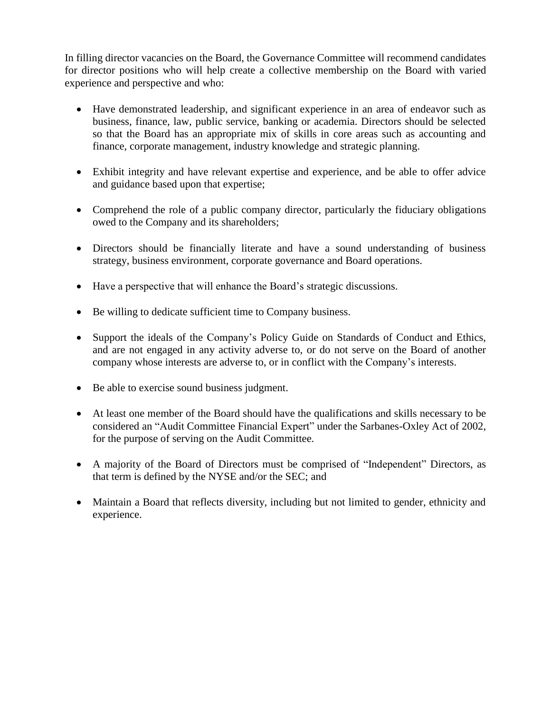In filling director vacancies on the Board, the Governance Committee will recommend candidates for director positions who will help create a collective membership on the Board with varied experience and perspective and who:

- Have demonstrated leadership, and significant experience in an area of endeavor such as business, finance, law, public service, banking or academia. Directors should be selected so that the Board has an appropriate mix of skills in core areas such as accounting and finance, corporate management, industry knowledge and strategic planning.
- Exhibit integrity and have relevant expertise and experience, and be able to offer advice and guidance based upon that expertise;
- Comprehend the role of a public company director, particularly the fiduciary obligations owed to the Company and its shareholders;
- Directors should be financially literate and have a sound understanding of business strategy, business environment, corporate governance and Board operations.
- Have a perspective that will enhance the Board's strategic discussions.
- Be willing to dedicate sufficient time to Company business.
- Support the ideals of the Company's Policy Guide on Standards of Conduct and Ethics, and are not engaged in any activity adverse to, or do not serve on the Board of another company whose interests are adverse to, or in conflict with the Company's interests.
- Be able to exercise sound business judgment.
- At least one member of the Board should have the qualifications and skills necessary to be considered an "Audit Committee Financial Expert" under the Sarbanes-Oxley Act of 2002, for the purpose of serving on the Audit Committee.
- A majority of the Board of Directors must be comprised of "Independent" Directors, as that term is defined by the NYSE and/or the SEC; and
- Maintain a Board that reflects diversity, including but not limited to gender, ethnicity and experience.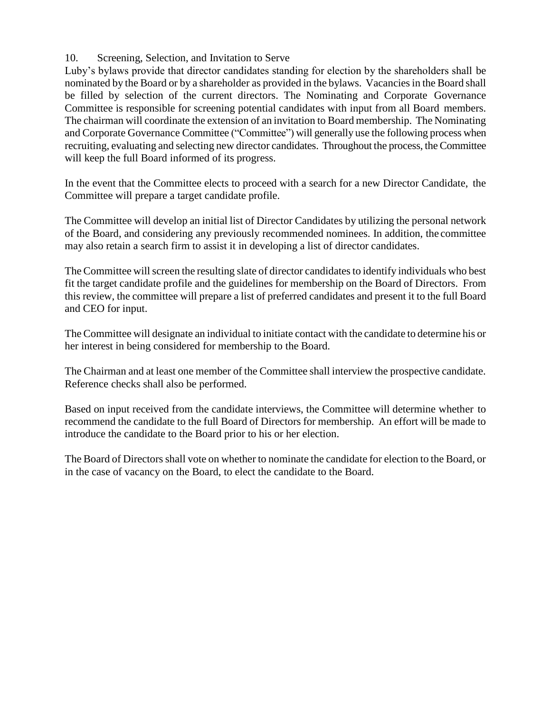## 10. Screening, Selection, and Invitation to Serve

Luby's bylaws provide that director candidates standing for election by the shareholders shall be nominated by the Board or by a shareholder as provided in the bylaws. Vacanciesin the Board shall be filled by selection of the current directors. The Nominating and Corporate Governance Committee is responsible for screening potential candidates with input from all Board members. The chairman will coordinate the extension of an invitation to Board membership. The Nominating and Corporate Governance Committee ("Committee") will generally use the following process when recruiting, evaluating and selecting new director candidates. Throughout the process, the Committee will keep the full Board informed of its progress.

In the event that the Committee elects to proceed with a search for a new Director Candidate, the Committee will prepare a target candidate profile.

The Committee will develop an initial list of Director Candidates by utilizing the personal network of the Board, and considering any previously recommended nominees. In addition, the committee may also retain a search firm to assist it in developing a list of director candidates.

The Committee will screen the resulting slate of director candidates to identify individuals who best fit the target candidate profile and the guidelines for membership on the Board of Directors. From this review, the committee will prepare a list of preferred candidates and present it to the full Board and CEO for input.

The Committee will designate an individual to initiate contact with the candidate to determine his or her interest in being considered for membership to the Board.

The Chairman and at least one member of the Committee shall interview the prospective candidate. Reference checks shall also be performed.

Based on input received from the candidate interviews, the Committee will determine whether to recommend the candidate to the full Board of Directors for membership. An effort will be made to introduce the candidate to the Board prior to his or her election.

The Board of Directorsshall vote on whether to nominate the candidate for election to the Board, or in the case of vacancy on the Board, to elect the candidate to the Board.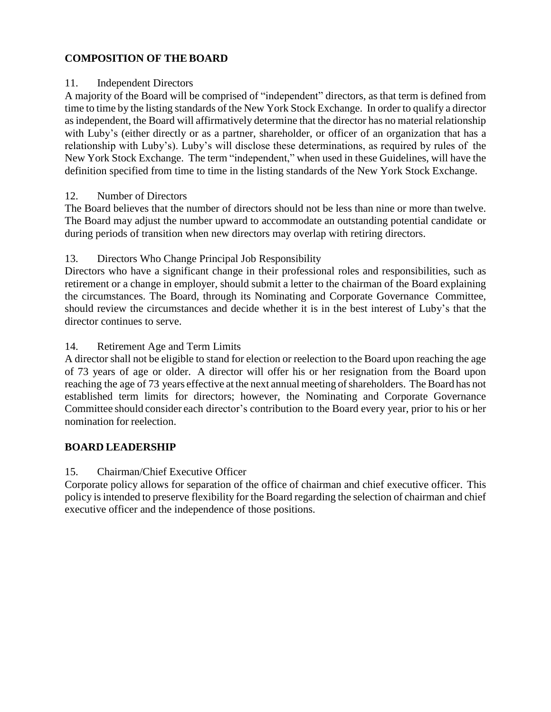# **COMPOSITION OF THE BOARD**

#### 11. Independent Directors

A majority of the Board will be comprised of "independent" directors, as that term is defined from time to time by the listing standards of the New York Stock Exchange. In order to qualify a director asindependent, the Board will affirmatively determine that the director has no material relationship with Luby's (either directly or as a partner, shareholder, or officer of an organization that has a relationship with Luby's). Luby's will disclose these determinations, as required by rules of the New York Stock Exchange. The term "independent," when used in these Guidelines, will have the definition specified from time to time in the listing standards of the New York Stock Exchange.

#### 12. Number of Directors

The Board believes that the number of directors should not be less than nine or more than twelve. The Board may adjust the number upward to accommodate an outstanding potential candidate or during periods of transition when new directors may overlap with retiring directors.

## 13. Directors Who Change Principal Job Responsibility

Directors who have a significant change in their professional roles and responsibilities, such as retirement or a change in employer, should submit a letter to the chairman of the Board explaining the circumstances. The Board, through its Nominating and Corporate Governance Committee, should review the circumstances and decide whether it is in the best interest of Luby's that the director continues to serve.

#### 14. Retirement Age and Term Limits

A director shall not be eligible to stand for election or reelection to the Board upon reaching the age of 73 years of age or older. A director will offer his or her resignation from the Board upon reaching the age of 73 years effective at the next annual meeting of shareholders. The Board has not established term limits for directors; however, the Nominating and Corporate Governance Committee should consider each director's contribution to the Board every year, prior to his or her nomination for reelection.

#### **BOARD LEADERSHIP**

## 15. Chairman/Chief Executive Officer

Corporate policy allows for separation of the office of chairman and chief executive officer. This policy is intended to preserve flexibility for the Board regarding the selection of chairman and chief executive officer and the independence of those positions.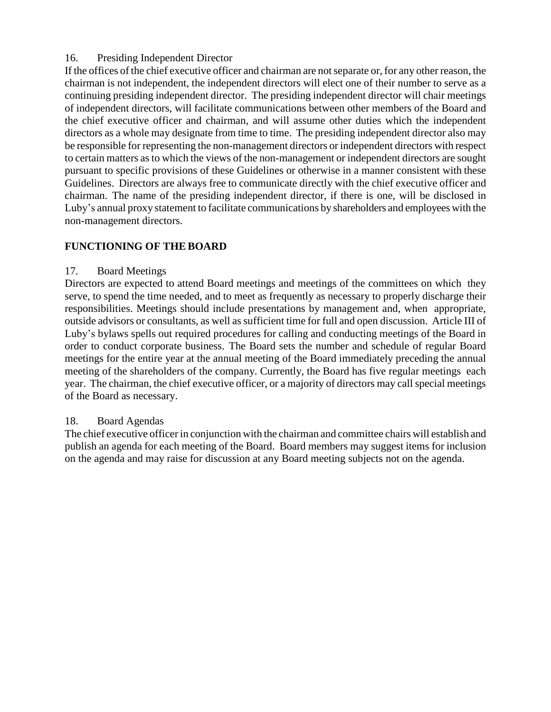## 16. Presiding Independent Director

If the offices of the chief executive officer and chairman are notseparate or, for any other reason, the chairman is not independent, the independent directors will elect one of their number to serve as a continuing presiding independent director. The presiding independent director will chair meetings of independent directors, will facilitate communications between other members of the Board and the chief executive officer and chairman, and will assume other duties which the independent directors as a whole may designate from time to time. The presiding independent director also may be responsible for representing the non-management directors or independent directors with respect to certain matters asto which the views of the non-management or independent directors are sought pursuant to specific provisions of these Guidelines or otherwise in a manner consistent with these Guidelines. Directors are always free to communicate directly with the chief executive officer and chairman. The name of the presiding independent director, if there is one, will be disclosed in Luby's annual proxy statement to facilitate communications by shareholders and employees with the non-management directors.

## **FUNCTIONING OF THE BOARD**

## 17. Board Meetings

Directors are expected to attend Board meetings and meetings of the committees on which they serve, to spend the time needed, and to meet as frequently as necessary to properly discharge their responsibilities. Meetings should include presentations by management and, when appropriate, outside advisors or consultants, as well as sufficient time for full and open discussion. Article III of Luby's bylaws spells out required procedures for calling and conducting meetings of the Board in order to conduct corporate business. The Board sets the number and schedule of regular Board meetings for the entire year at the annual meeting of the Board immediately preceding the annual meeting of the shareholders of the company. Currently, the Board has five regular meetings each year. The chairman, the chief executive officer, or a majority of directors may call special meetings of the Board as necessary.

## 18. Board Agendas

The chief executive officerin conjunction with the chairman and committee chairs will establish and publish an agenda for each meeting of the Board. Board members may suggest items for inclusion on the agenda and may raise for discussion at any Board meeting subjects not on the agenda.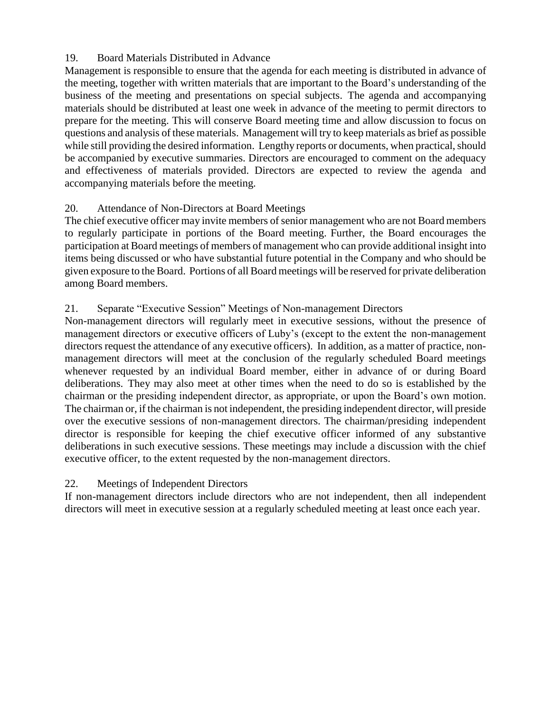## 19. Board Materials Distributed in Advance

Management is responsible to ensure that the agenda for each meeting is distributed in advance of the meeting, together with written materials that are important to the Board's understanding of the business of the meeting and presentations on special subjects. The agenda and accompanying materials should be distributed at least one week in advance of the meeting to permit directors to prepare for the meeting. This will conserve Board meeting time and allow discussion to focus on questions and analysis of these materials. Management will try to keep materials as brief as possible while still providing the desired information. Lengthy reports or documents, when practical, should be accompanied by executive summaries. Directors are encouraged to comment on the adequacy and effectiveness of materials provided. Directors are expected to review the agenda and accompanying materials before the meeting.

## 20. Attendance of Non-Directors at Board Meetings

The chief executive officer may invite members of senior management who are not Board members to regularly participate in portions of the Board meeting. Further, the Board encourages the participation at Board meetings of members of management who can provide additional insight into items being discussed or who have substantial future potential in the Company and who should be given exposure to the Board. Portions of all Board meetings will be reserved for private deliberation among Board members.

## 21. Separate "Executive Session" Meetings of Non-management Directors

Non-management directors will regularly meet in executive sessions, without the presence of management directors or executive officers of Luby's (except to the extent the non-management directors request the attendance of any executive officers). In addition, as a matter of practice, nonmanagement directors will meet at the conclusion of the regularly scheduled Board meetings whenever requested by an individual Board member, either in advance of or during Board deliberations. They may also meet at other times when the need to do so is established by the chairman or the presiding independent director, as appropriate, or upon the Board's own motion. The chairman or, if the chairman is not independent, the presiding independent director, will preside over the executive sessions of non-management directors. The chairman/presiding independent director is responsible for keeping the chief executive officer informed of any substantive deliberations in such executive sessions. These meetings may include a discussion with the chief executive officer, to the extent requested by the non-management directors.

## 22. Meetings of Independent Directors

If non-management directors include directors who are not independent, then all independent directors will meet in executive session at a regularly scheduled meeting at least once each year.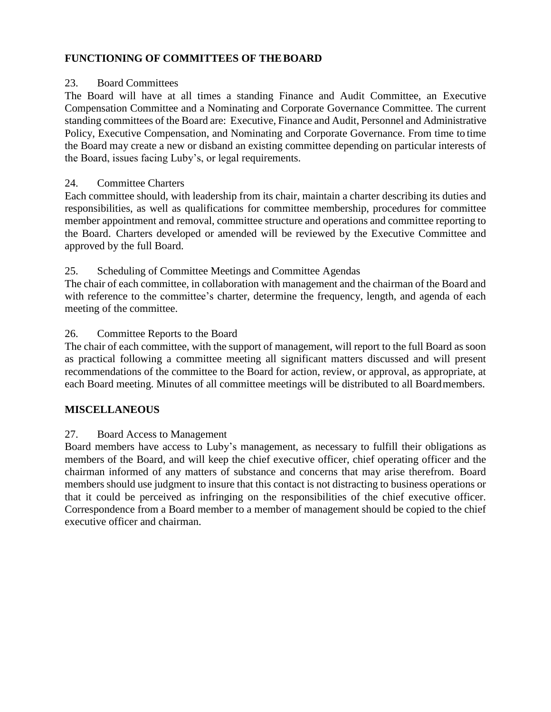## **FUNCTIONING OF COMMITTEES OF THEBOARD**

#### 23. Board Committees

The Board will have at all times a standing Finance and Audit Committee, an Executive Compensation Committee and a Nominating and Corporate Governance Committee. The current standing committees of the Board are: Executive, Finance and Audit, Personnel and Administrative Policy, Executive Compensation, and Nominating and Corporate Governance. From time to time the Board may create a new or disband an existing committee depending on particular interests of the Board, issues facing Luby's, or legal requirements.

## 24. Committee Charters

Each committee should, with leadership from its chair, maintain a charter describing its duties and responsibilities, as well as qualifications for committee membership, procedures for committee member appointment and removal, committee structure and operations and committee reporting to the Board. Charters developed or amended will be reviewed by the Executive Committee and approved by the full Board.

## 25. Scheduling of Committee Meetings and Committee Agendas

The chair of each committee, in collaboration with management and the chairman of the Board and with reference to the committee's charter, determine the frequency, length, and agenda of each meeting of the committee.

## 26. Committee Reports to the Board

The chair of each committee, with the support of management, will report to the full Board as soon as practical following a committee meeting all significant matters discussed and will present recommendations of the committee to the Board for action, review, or approval, as appropriate, at each Board meeting. Minutes of all committee meetings will be distributed to all Boardmembers.

## **MISCELLANEOUS**

## 27. Board Access to Management

Board members have access to Luby's management, as necessary to fulfill their obligations as members of the Board, and will keep the chief executive officer, chief operating officer and the chairman informed of any matters of substance and concerns that may arise therefrom. Board members should use judgment to insure that this contact is not distracting to business operations or that it could be perceived as infringing on the responsibilities of the chief executive officer. Correspondence from a Board member to a member of management should be copied to the chief executive officer and chairman.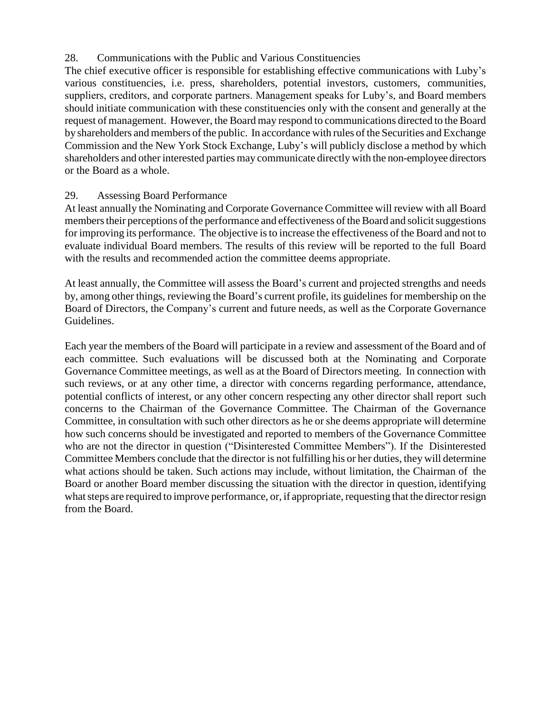## 28. Communications with the Public and Various Constituencies

The chief executive officer is responsible for establishing effective communications with Luby's various constituencies, i.e. press, shareholders, potential investors, customers, communities, suppliers, creditors, and corporate partners. Management speaks for Luby's, and Board members should initiate communication with these constituencies only with the consent and generally at the request of management. However, the Board may respond to communications directed to the Board by shareholders and members of the public. In accordance with rules of the Securities and Exchange Commission and the New York Stock Exchange, Luby's will publicly disclose a method by which shareholders and other interested parties may communicate directly with the non-employee directors or the Board as a whole.

## 29. Assessing Board Performance

At least annually the Nominating and Corporate Governance Committee will review with all Board members their perceptions of the performance and effectiveness of the Board and solicit suggestions for improving its performance. The objective isto increase the effectiveness of the Board and not to evaluate individual Board members. The results of this review will be reported to the full Board with the results and recommended action the committee deems appropriate.

At least annually, the Committee will assess the Board's current and projected strengths and needs by, among other things, reviewing the Board's current profile, its guidelines for membership on the Board of Directors, the Company's current and future needs, as well as the Corporate Governance Guidelines.

Each year the members of the Board will participate in a review and assessment of the Board and of each committee. Such evaluations will be discussed both at the Nominating and Corporate Governance Committee meetings, as well as at the Board of Directors meeting. In connection with such reviews, or at any other time, a director with concerns regarding performance, attendance, potential conflicts of interest, or any other concern respecting any other director shall report such concerns to the Chairman of the Governance Committee. The Chairman of the Governance Committee, in consultation with such other directors as he or she deems appropriate will determine how such concerns should be investigated and reported to members of the Governance Committee who are not the director in question ("Disinterested Committee Members"). If the Disinterested Committee Members conclude that the director is not fulfilling his or her duties, they will determine what actions should be taken. Such actions may include, without limitation, the Chairman of the Board or another Board member discussing the situation with the director in question, identifying what steps are required to improve performance, or, if appropriate, requesting that the director resign from the Board.